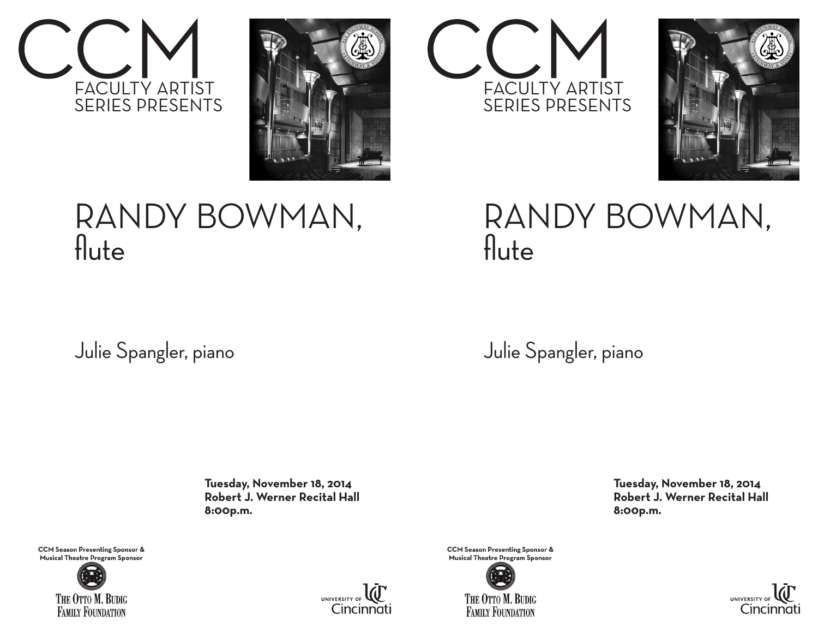



## RANDY BOWMAN, flute

Julie Spangler, piano

 **Tuesday, November 18, 2014 Robert J. Werner Recital Hall 8:00p.m.**



**CCM Season Presenting Sponsor &** Musical Theatre Program Sponsor